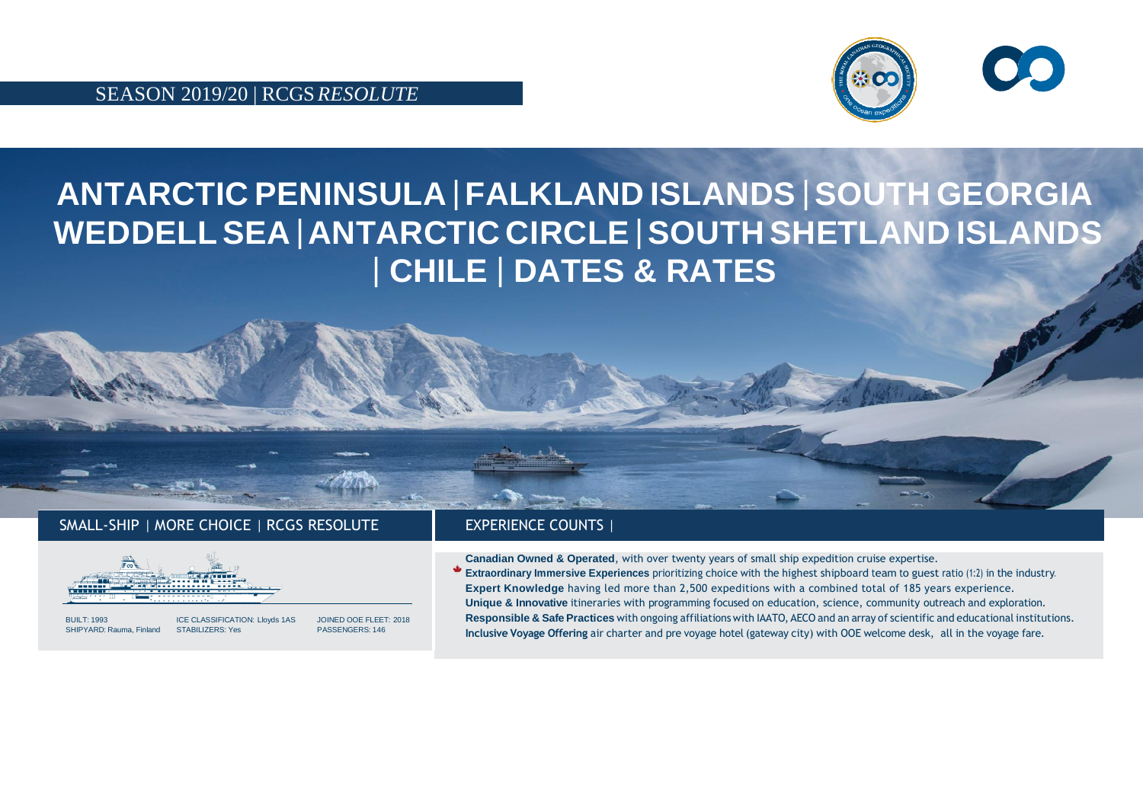SEASON 2019/20 | RCGS*RESOLUTE*



## **ANTARCTIC PENINSULA** |**FALKLAND ISLANDS** |**SOUTH GEORGIA WEDDELLSEA** |**ANTARCTIC CIRCLE** |**SOUTH SHETLAND ISLANDS** | **CHILE** | **DATES & RATES**

## SMALL-SHIP | MORE CHOICE | RCGS RESOLUTE | EXPERIENCE COUNTS



SHIPYARD: Rauma, Finland STABILIZERS: Yes

BUILT: 1993 ICE CLASSIFICATION: Lloyds 1AS JOINED OOE FLEET: 2018

**Canadian Owned & Operated**, with over twenty years of small ship expedition cruise expertise. **Extraordinary Immersive Experiences** prioritizing choice with the highest shipboard team to guest ratio (1:2) in the industry. **Expert Knowledge** having led more than 2,500 expeditions with a combined total of 185 years experience. **Unique & Innovative** itineraries with programming focused on education, science, community outreach and exploration. **Responsible & Safe Practices** with ongoing affiliationswith IAATO, AECO and an array of scientific and educational institutions. **Inclusive Voyage Offering** air charter and pre voyage hotel (gateway city) with OOE welcome desk, all in the voyage fare.